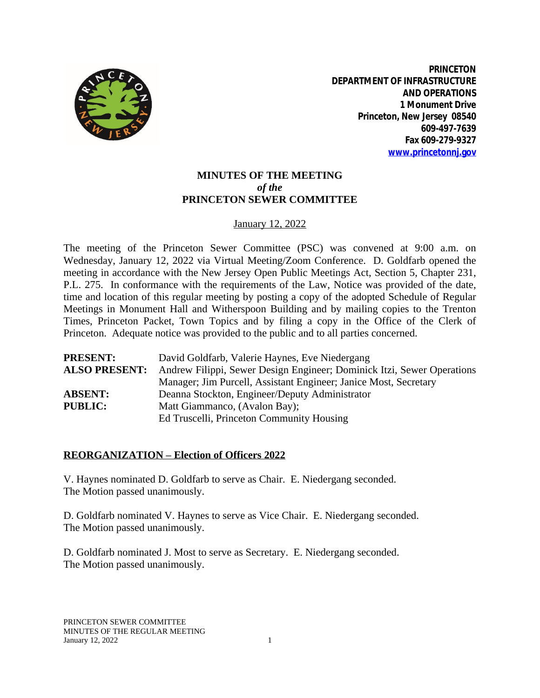

**PRINCETON DEPARTMENT OF INFRASTRUCTURE AND OPERATIONS 1 Monument Drive Princeton, New Jersey 08540 609-497-7639 Fax 609-279-9327 [www.princetonnj.gov](http://www.princetonnj.gov)**

# **MINUTES OF THE MEETING** *of the* **PRINCETON SEWER COMMITTEE**

## January 12, 2022

The meeting of the Princeton Sewer Committee (PSC) was convened at 9:00 a.m. on Wednesday, January 12, 2022 via Virtual Meeting/Zoom Conference. D. Goldfarb opened the meeting in accordance with the New Jersey Open Public Meetings Act, Section 5, Chapter 231, P.L. 275. In conformance with the requirements of the Law, Notice was provided of the date, time and location of this regular meeting by posting a copy of the adopted Schedule of Regular Meetings in Monument Hall and Witherspoon Building and by mailing copies to the Trenton Times, Princeton Packet, Town Topics and by filing a copy in the Office of the Clerk of Princeton. Adequate notice was provided to the public and to all parties concerned.

| <b>PRESENT:</b>      | David Goldfarb, Valerie Haynes, Eve Niedergang                         |
|----------------------|------------------------------------------------------------------------|
| <b>ALSO PRESENT:</b> | Andrew Filippi, Sewer Design Engineer; Dominick Itzi, Sewer Operations |
|                      | Manager; Jim Purcell, Assistant Engineer; Janice Most, Secretary       |
| <b>ABSENT:</b>       | Deanna Stockton, Engineer/Deputy Administrator                         |
| <b>PUBLIC:</b>       | Matt Giammanco, (Avalon Bay);                                          |
|                      | Ed Truscelli, Princeton Community Housing                              |

#### **REORGANIZATION – Election of Officers 2022**

V. Haynes nominated D. Goldfarb to serve as Chair. E. Niedergang seconded. The Motion passed unanimously.

D. Goldfarb nominated V. Haynes to serve as Vice Chair. E. Niedergang seconded. The Motion passed unanimously.

D. Goldfarb nominated J. Most to serve as Secretary. E. Niedergang seconded. The Motion passed unanimously.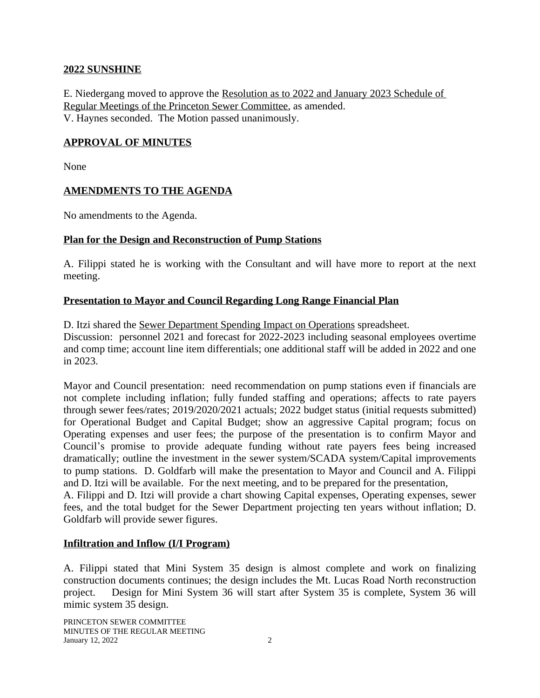#### **2022 SUNSHINE**

E. Niedergang moved to approve the Resolution as to 2022 and January 2023 Schedule of Regular Meetings of the Princeton Sewer Committee, as amended. V. Haynes seconded. The Motion passed unanimously.

### **APPROVAL OF MINUTES**

None

#### **AMENDMENTS TO THE AGENDA**

No amendments to the Agenda.

#### **Plan for the Design and Reconstruction of Pump Stations**

A. Filippi stated he is working with the Consultant and will have more to report at the next meeting.

## **Presentation to Mayor and Council Regarding Long Range Financial Plan**

D. Itzi shared the Sewer Department Spending Impact on Operations spreadsheet. Discussion: personnel 2021 and forecast for 2022-2023 including seasonal employees overtime and comp time; account line item differentials; one additional staff will be added in 2022 and one in 2023.

Mayor and Council presentation: need recommendation on pump stations even if financials are not complete including inflation; fully funded staffing and operations; affects to rate payers through sewer fees/rates; 2019/2020/2021 actuals; 2022 budget status (initial requests submitted) for Operational Budget and Capital Budget; show an aggressive Capital program; focus on Operating expenses and user fees; the purpose of the presentation is to confirm Mayor and Council's promise to provide adequate funding without rate payers fees being increased dramatically; outline the investment in the sewer system/SCADA system/Capital improvements to pump stations. D. Goldfarb will make the presentation to Mayor and Council and A. Filippi and D. Itzi will be available. For the next meeting, and to be prepared for the presentation,

A. Filippi and D. Itzi will provide a chart showing Capital expenses, Operating expenses, sewer fees, and the total budget for the Sewer Department projecting ten years without inflation; D. Goldfarb will provide sewer figures.

#### **Infiltration and Inflow (I/I Program)**

A. Filippi stated that Mini System 35 design is almost complete and work on finalizing construction documents continues; the design includes the Mt. Lucas Road North reconstruction project. Design for Mini System 36 will start after System 35 is complete, System 36 will mimic system 35 design.

PRINCETON SEWER COMMITTEE MINUTES OF THE REGULAR MEETING **January 12, 2022** 2